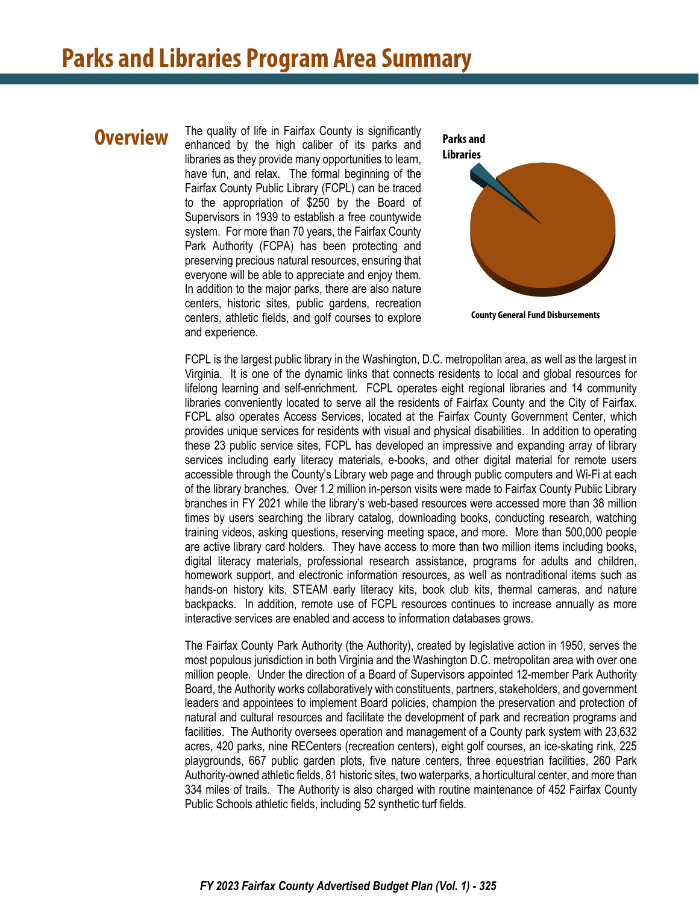#### **Overview**

The quality of life in Fairfax County is significantly enhanced by the high caliber of its parks and libraries as they provide many opportunities to learn, have fun, and relax. The formal beginning of the Fairfax County Public Library (FCPL) can be traced to the appropriation of \$250 by the Board of Supervisors in 1939 to establish a free countywide system. For more than 70 years, the Fairfax County Park Authority (FCPA) has been protecting and preserving precious natural resources, ensuring that everyone will be able to appreciate and enjoy them. In addition to the major parks, there are also nature centers, historic sites, public gardens, recreation centers, athletic fields, and golf courses to explore and experience.



**County General Fund Disbursements**

FCPL is the largest public library in the Washington, D.C. metropolitan area, as well as the largest in Virginia. It is one of the dynamic links that connects residents to local and global resources for lifelong learning and self-enrichment. FCPL operates eight regional libraries and 14 community libraries conveniently located to serve all the residents of Fairfax County and the City of Fairfax. FCPL also operates Access Services, located at the Fairfax County Government Center, which provides unique services for residents with visual and physical disabilities. In addition to operating these 23 public service sites, FCPL has developed an impressive and expanding array of library services including early literacy materials, e-books, and other digital material for remote users accessible through the County's Library web page and through public computers and Wi-Fi at each of the library branches. Over 1.2 million in-person visits were made to Fairfax County Public Library branches in FY 2021 while the library's web-based resources were accessed more than 38 million times by users searching the library catalog, downloading books, conducting research, watching training videos, asking questions, reserving meeting space, and more. More than 500,000 people are active library card holders. They have access to more than two million items including books, digital literacy materials, professional research assistance, programs for adults and children, homework support, and electronic information resources, as well as nontraditional items such as hands-on history kits, STEAM early literacy kits, book club kits, thermal cameras, and nature backpacks. In addition, remote use of FCPL resources continues to increase annually as more interactive services are enabled and access to information databases grows.

The Fairfax County Park Authority (the Authority), created by legislative action in 1950, serves the most populous jurisdiction in both Virginia and the Washington D.C. metropolitan area with over one million people. Under the direction of a Board of Supervisors appointed 12-member Park Authority Board, the Authority works collaboratively with constituents, partners, stakeholders, and government leaders and appointees to implement Board policies, champion the preservation and protection of natural and cultural resources and facilitate the development of park and recreation programs and facilities. The Authority oversees operation and management of a County park system with 23,632 acres, 420 parks, nine RECenters (recreation centers), eight golf courses, an ice-skating rink, 225 playgrounds, 667 public garden plots, five nature centers, three equestrian facilities, 260 Park Authority-owned athletic fields, 81 historic sites, two waterparks, a horticultural center, and more than 334 miles of trails. The Authority is also charged with routine maintenance of 452 Fairfax County Public Schools athletic fields, including 52 synthetic turf fields.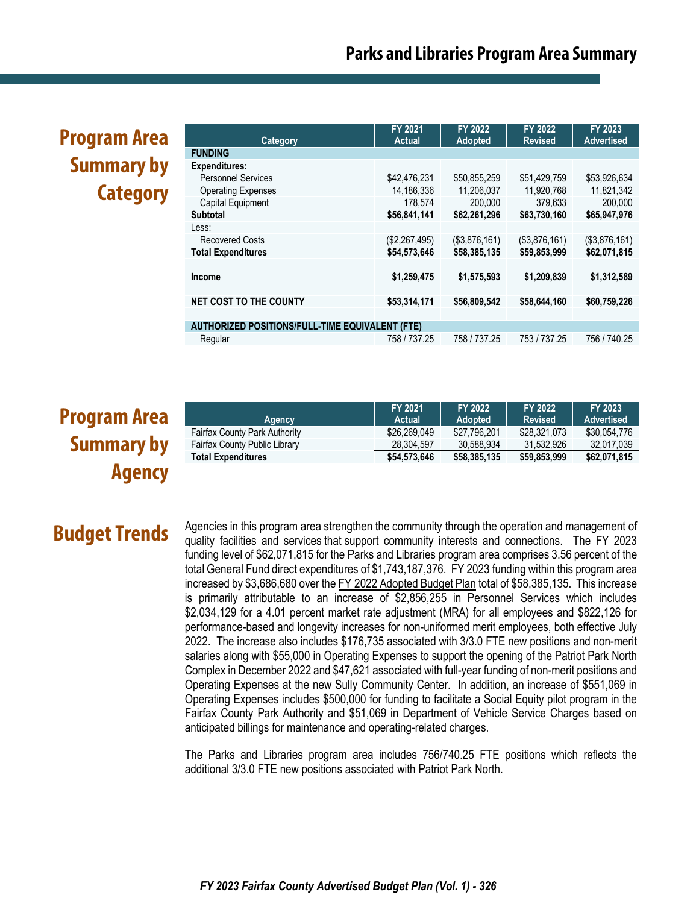# **Program Area Summary by Category**

|                                                        | FY 2021       | <b>FY 2022</b> | <b>FY 2022</b> | <b>FY 2023</b>    |  |
|--------------------------------------------------------|---------------|----------------|----------------|-------------------|--|
| Category                                               | <b>Actual</b> | <b>Adopted</b> | <b>Revised</b> | <b>Advertised</b> |  |
| <b>FUNDING</b>                                         |               |                |                |                   |  |
| <b>Expenditures:</b>                                   |               |                |                |                   |  |
| <b>Personnel Services</b>                              | \$42,476,231  | \$50,855,259   | \$51,429,759   | \$53,926,634      |  |
| <b>Operating Expenses</b>                              | 14,186,336    | 11,206,037     | 11,920,768     | 11,821,342        |  |
| Capital Equipment                                      | 178,574       | 200,000        | 379,633        | 200,000           |  |
| <b>Subtotal</b>                                        | \$56,841,141  | \$62,261,296   | \$63,730,160   | \$65,947,976      |  |
| Less:                                                  |               |                |                |                   |  |
| <b>Recovered Costs</b>                                 | (\$2,267,495) | (\$3,876,161)  | (\$3,876,161)  | (\$3,876,161)     |  |
| <b>Total Expenditures</b>                              | \$54,573,646  | \$58,385,135   | \$59,853,999   | \$62,071,815      |  |
|                                                        |               |                |                |                   |  |
| <b>Income</b>                                          | \$1,259,475   | \$1,575,593    | \$1,209,839    | \$1,312,589       |  |
|                                                        |               |                |                |                   |  |
| <b>NET COST TO THE COUNTY</b>                          | \$53,314,171  | \$56,809,542   | \$58,644,160   | \$60,759,226      |  |
|                                                        |               |                |                |                   |  |
| <b>AUTHORIZED POSITIONS/FULL-TIME EQUIVALENT (FTE)</b> |               |                |                |                   |  |
| Regular                                                | 758 / 737.25  | 758 / 737.25   | 753 / 737.25   | 756 / 740.25      |  |

# **Program Area Summary by Agency**

| Agency                               | FY 2021<br>Actual | FY 2022<br><b>Adopted</b> | FY 2022<br><b>Revised</b> | FY 2023<br><b>Advertised</b> |
|--------------------------------------|-------------------|---------------------------|---------------------------|------------------------------|
| <b>Fairfax County Park Authority</b> | \$26,269,049      | \$27.796.201              | \$28,321,073              | \$30.054.776                 |
| Fairfax County Public Library        | 28.304.597        | 30.588.934                | 31.532.926                | 32.017.039                   |
| <b>Total Expenditures</b>            | \$54,573,646      | \$58,385,135              | \$59,853,999              | \$62,071,815                 |

## **Budget Trends**

Agencies in this program area strengthen the community through the operation and management of quality facilities and services that support community interests and connections. The FY 2023 funding level of \$62,071,815 for the Parks and Libraries program area comprises 3.56 percent of the total General Fund direct expenditures of \$1,743,187,376. FY 2023 funding within this program area increased by \$3,686,680 over the FY 2022 Adopted Budget Plan total of \$58,385,135. This increase is primarily attributable to an increase of \$2,856,255 in Personnel Services which includes \$2,034,129 for a 4.01 percent market rate adjustment (MRA) for all employees and \$822,126 for performance-based and longevity increases for non-uniformed merit employees, both effective July 2022. The increase also includes \$176,735 associated with 3/3.0 FTE new positions and non-merit salaries along with \$55,000 in Operating Expenses to support the opening of the Patriot Park North Complex in December 2022 and \$47,621 associated with full-year funding of non-merit positions and Operating Expenses at the new Sully Community Center. In addition, an increase of \$551,069 in Operating Expenses includes \$500,000 for funding to facilitate a Social Equity pilot program in the Fairfax County Park Authority and \$51,069 in Department of Vehicle Service Charges based on anticipated billings for maintenance and operating-related charges.

The Parks and Libraries program area includes 756/740.25 FTE positions which reflects the additional 3/3.0 FTE new positions associated with Patriot Park North.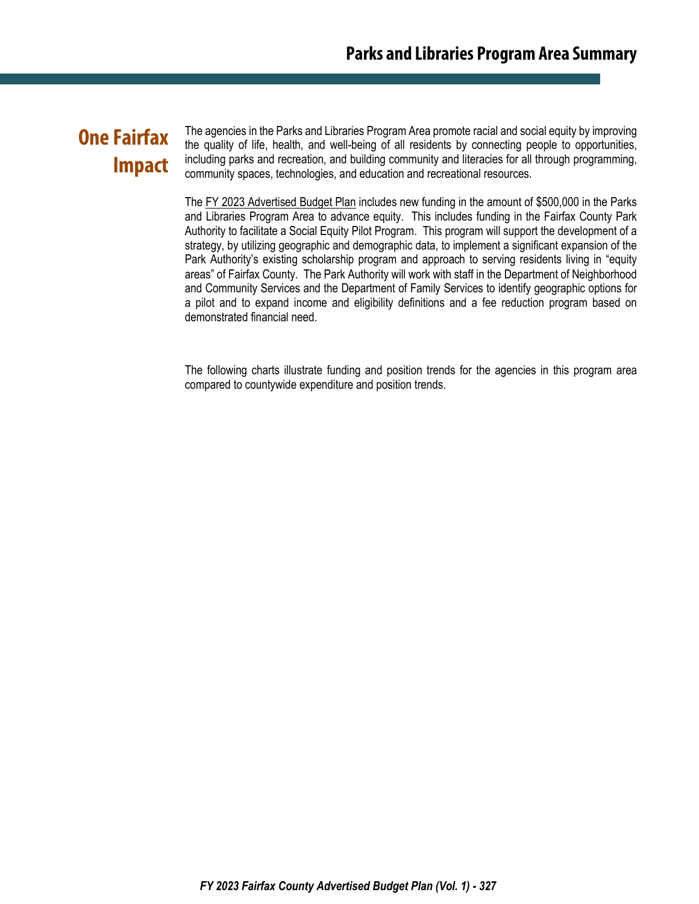### **One Fairfax Impact**

The agencies in the Parks and Libraries Program Area promote racial and social equity by improving the quality of life, health, and well-being of all residents by connecting people to opportunities, including parks and recreation, and building community and literacies for all through programming, community spaces, technologies, and education and recreational resources.

The FY 2023 Advertised Budget Plan includes new funding in the amount of \$500,000 in the Parks and Libraries Program Area to advance equity. This includes funding in the Fairfax County Park Authority to facilitate a Social Equity Pilot Program. This program will support the development of a strategy, by utilizing geographic and demographic data, to implement a significant expansion of the Park Authority's existing scholarship program and approach to serving residents living in "equity areas" of Fairfax County. The Park Authority will work with staff in the Department of Neighborhood and Community Services and the Department of Family Services to identify geographic options for a pilot and to expand income and eligibility definitions and a fee reduction program based on demonstrated financial need.

The following charts illustrate funding and position trends for the agencies in this program area compared to countywide expenditure and position trends.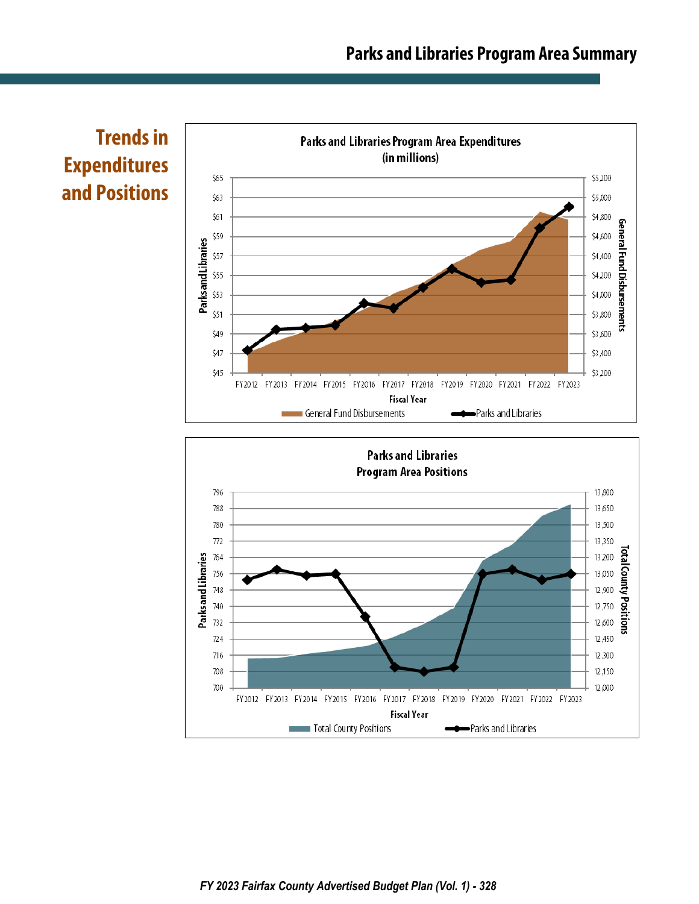

**Trends in Expenditures and Positions**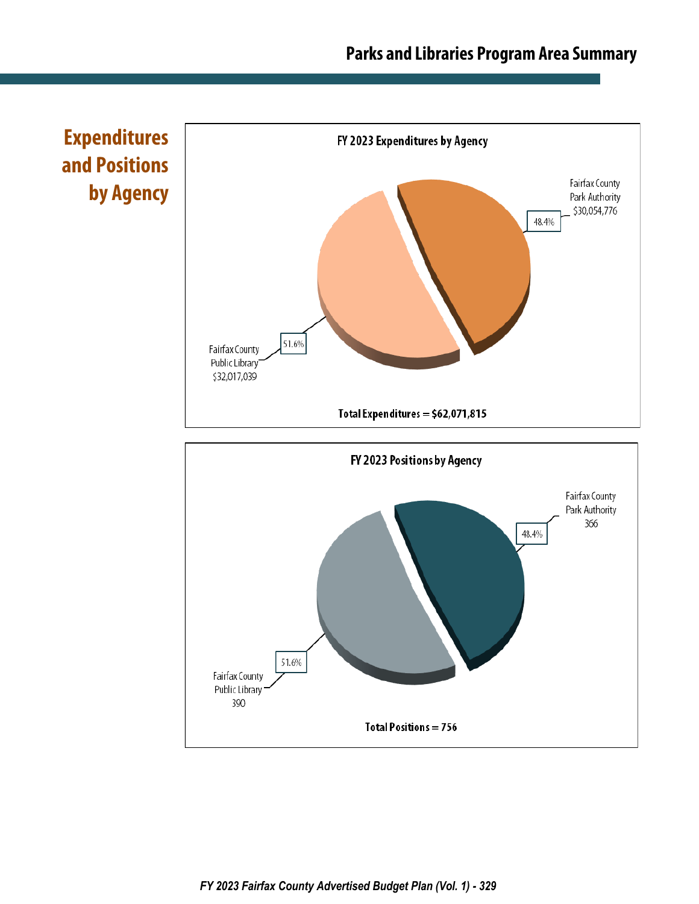